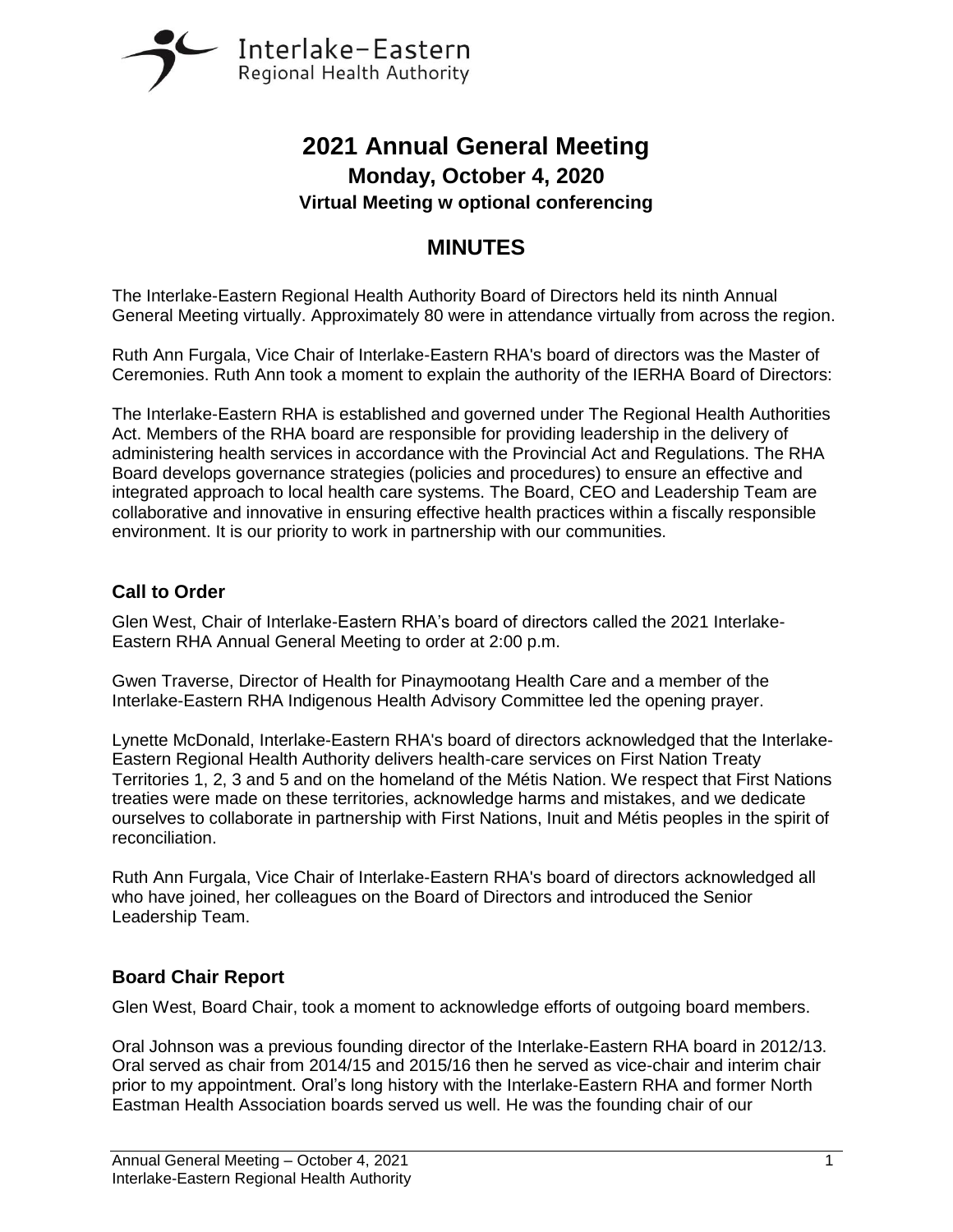

# **2021 Annual General Meeting Monday, October 4, 2020 Virtual Meeting w optional conferencing**

# **MINUTES**

The Interlake-Eastern Regional Health Authority Board of Directors held its ninth Annual General Meeting virtually. Approximately 80 were in attendance virtually from across the region.

Ruth Ann Furgala, Vice Chair of Interlake-Eastern RHA's board of directors was the Master of Ceremonies. Ruth Ann took a moment to explain the authority of the IERHA Board of Directors:

The Interlake-Eastern RHA is established and governed under The Regional Health Authorities Act. Members of the RHA board are responsible for providing leadership in the delivery of administering health services in accordance with the Provincial Act and Regulations. The RHA Board develops governance strategies (policies and procedures) to ensure an effective and integrated approach to local health care systems. The Board, CEO and Leadership Team are collaborative and innovative in ensuring effective health practices within a fiscally responsible environment. It is our priority to work in partnership with our communities.

## **Call to Order**

Glen West, Chair of Interlake-Eastern RHA's board of directors called the 2021 Interlake-Eastern RHA Annual General Meeting to order at 2:00 p.m.

Gwen Traverse, Director of Health for Pinaymootang Health Care and a member of the Interlake-Eastern RHA Indigenous Health Advisory Committee led the opening prayer.

Lynette McDonald, Interlake-Eastern RHA's board of directors acknowledged that the Interlake-Eastern Regional Health Authority delivers health-care services on First Nation Treaty Territories 1, 2, 3 and 5 and on the homeland of the Métis Nation. We respect that First Nations treaties were made on these territories, acknowledge harms and mistakes, and we dedicate ourselves to collaborate in partnership with First Nations, Inuit and Métis peoples in the spirit of reconciliation.

Ruth Ann Furgala, Vice Chair of Interlake-Eastern RHA's board of directors acknowledged all who have joined, her colleagues on the Board of Directors and introduced the Senior Leadership Team.

# **Board Chair Report**

Glen West, Board Chair, took a moment to acknowledge efforts of outgoing board members.

Oral Johnson was a previous founding director of the Interlake-Eastern RHA board in 2012/13. Oral served as chair from 2014/15 and 2015/16 then he served as vice-chair and interim chair prior to my appointment. Oral's long history with the Interlake-Eastern RHA and former North Eastman Health Association boards served us well. He was the founding chair of our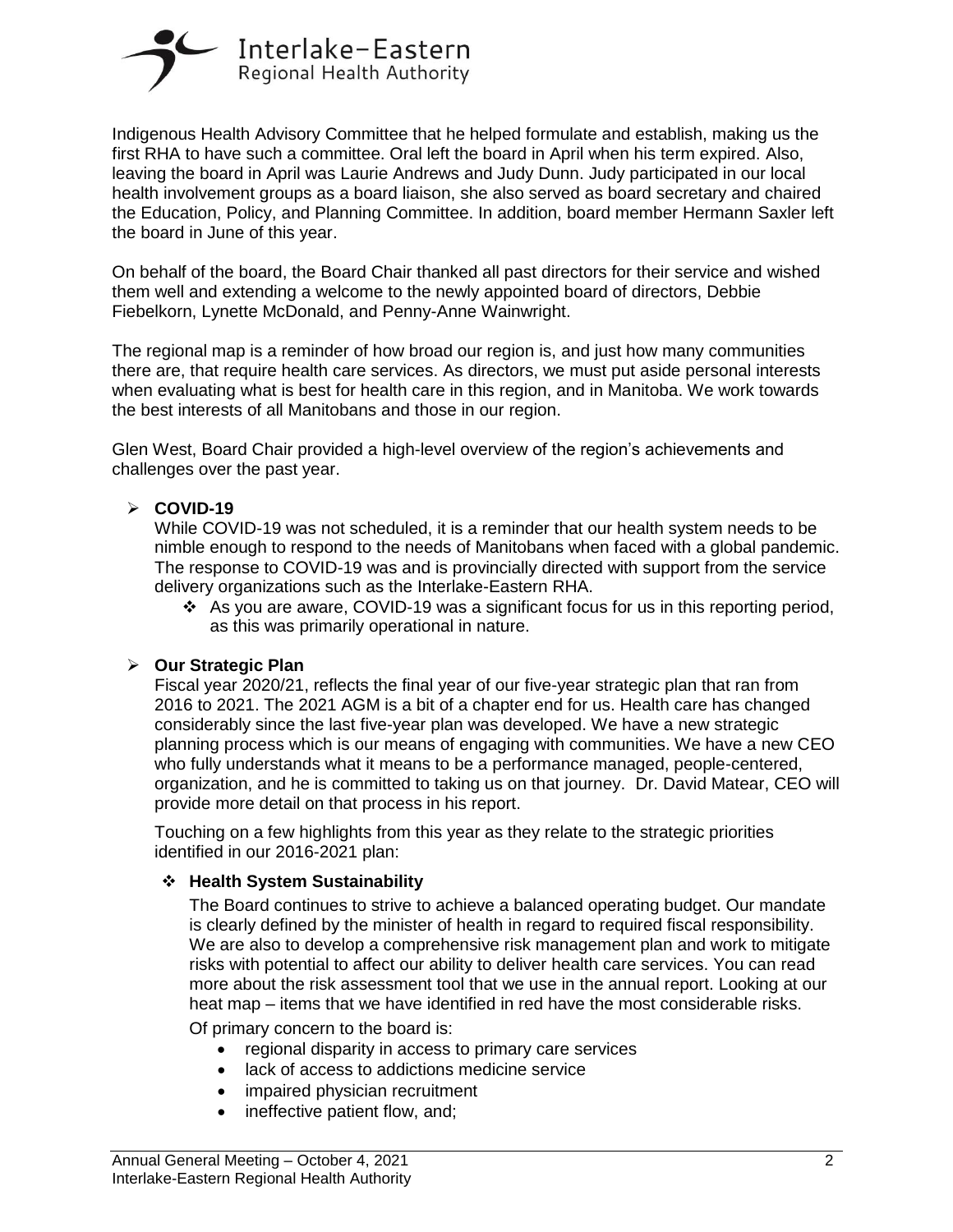

Indigenous Health Advisory Committee that he helped formulate and establish, making us the first RHA to have such a committee. Oral left the board in April when his term expired. Also, leaving the board in April was Laurie Andrews and Judy Dunn. Judy participated in our local health involvement groups as a board liaison, she also served as board secretary and chaired the Education, Policy, and Planning Committee. In addition, board member Hermann Saxler left the board in June of this year.

On behalf of the board, the Board Chair thanked all past directors for their service and wished them well and extending a welcome to the newly appointed board of directors, Debbie Fiebelkorn, Lynette McDonald, and Penny-Anne Wainwright.

The regional map is a reminder of how broad our region is, and just how many communities there are, that require health care services. As directors, we must put aside personal interests when evaluating what is best for health care in this region, and in Manitoba. We work towards the best interests of all Manitobans and those in our region.

Glen West, Board Chair provided a high-level overview of the region's achievements and challenges over the past year.

#### ➢ **COVID-19**

While COVID-19 was not scheduled, it is a reminder that our health system needs to be nimble enough to respond to the needs of Manitobans when faced with a global pandemic. The response to COVID-19 was and is provincially directed with support from the service delivery organizations such as the Interlake-Eastern RHA.

 $\div$  As you are aware, COVID-19 was a significant focus for us in this reporting period, as this was primarily operational in nature.

#### ➢ **Our Strategic Plan**

Fiscal year 2020/21, reflects the final year of our five-year strategic plan that ran from 2016 to 2021. The 2021 AGM is a bit of a chapter end for us. Health care has changed considerably since the last five-year plan was developed. We have a new strategic planning process which is our means of engaging with communities. We have a new CEO who fully understands what it means to be a performance managed, people-centered, organization, and he is committed to taking us on that journey. Dr. David Matear, CEO will provide more detail on that process in his report.

Touching on a few highlights from this year as they relate to the strategic priorities identified in our 2016-2021 plan:

#### ❖ **Health System Sustainability**

The Board continues to strive to achieve a balanced operating budget. Our mandate is clearly defined by the minister of health in regard to required fiscal responsibility. We are also to develop a comprehensive risk management plan and work to mitigate risks with potential to affect our ability to deliver health care services. You can read more about the risk assessment tool that we use in the annual report. Looking at our heat map – items that we have identified in red have the most considerable risks.

Of primary concern to the board is:

- regional disparity in access to primary care services
- lack of access to addictions medicine service
- impaired physician recruitment
- ineffective patient flow, and;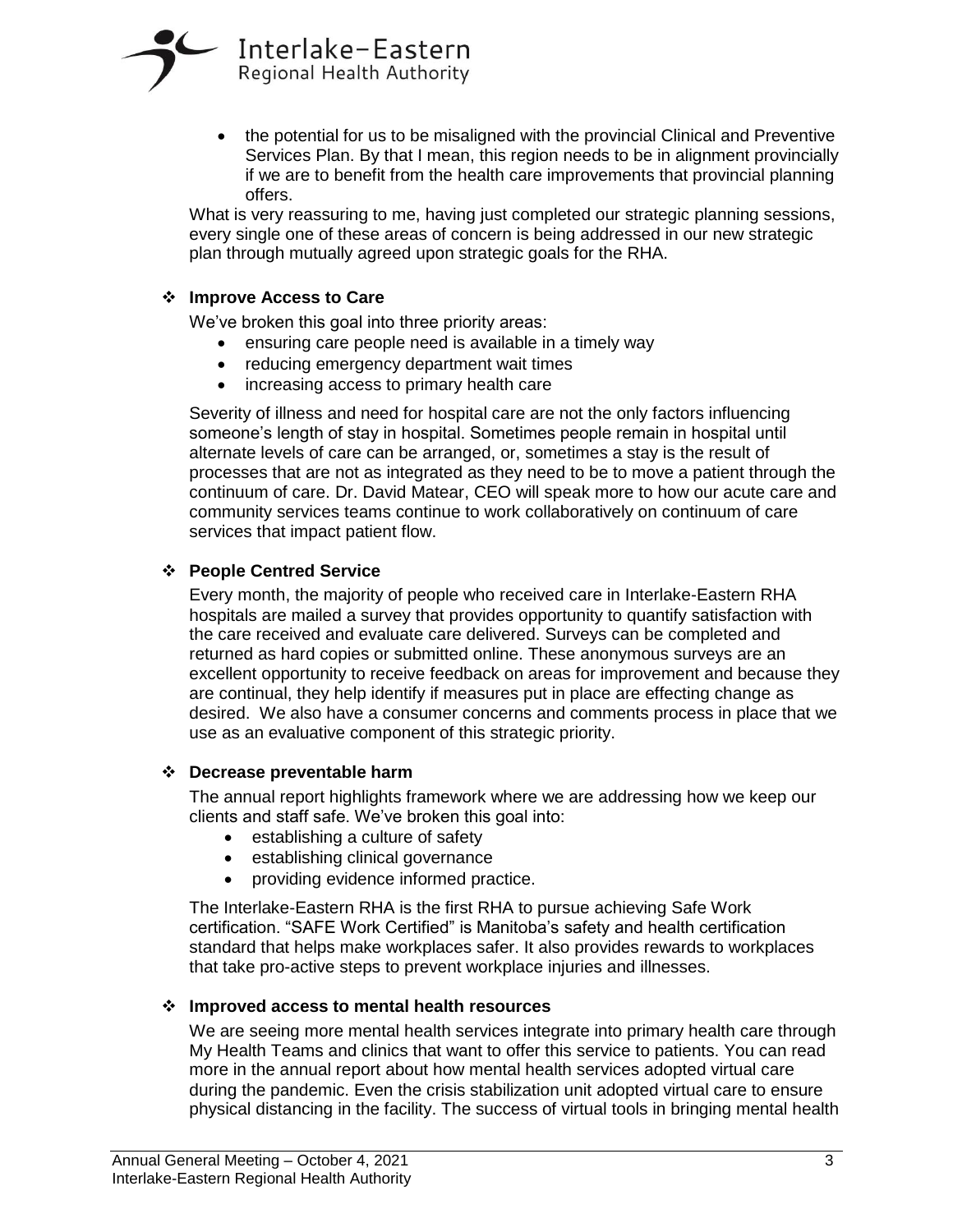

• the potential for us to be misaligned with the provincial Clinical and Preventive Services Plan. By that I mean, this region needs to be in alignment provincially if we are to benefit from the health care improvements that provincial planning offers.

What is very reassuring to me, having just completed our strategic planning sessions, every single one of these areas of concern is being addressed in our new strategic plan through mutually agreed upon strategic goals for the RHA.

#### ❖ **Improve Access to Care**

We've broken this goal into three priority areas:

- ensuring care people need is available in a timely way
- reducing emergency department wait times
- increasing access to primary health care

Severity of illness and need for hospital care are not the only factors influencing someone's length of stay in hospital. Sometimes people remain in hospital until alternate levels of care can be arranged, or, sometimes a stay is the result of processes that are not as integrated as they need to be to move a patient through the continuum of care. Dr. David Matear, CEO will speak more to how our acute care and community services teams continue to work collaboratively on continuum of care services that impact patient flow.

#### ❖ **People Centred Service**

Every month, the majority of people who received care in Interlake-Eastern RHA hospitals are mailed a survey that provides opportunity to quantify satisfaction with the care received and evaluate care delivered. Surveys can be completed and returned as hard copies or submitted online. These anonymous surveys are an excellent opportunity to receive feedback on areas for improvement and because they are continual, they help identify if measures put in place are effecting change as desired. We also have a consumer concerns and comments process in place that we use as an evaluative component of this strategic priority.

#### ❖ **Decrease preventable harm**

The annual report highlights framework where we are addressing how we keep our clients and staff safe. We've broken this goal into:

- establishing a culture of safety
- establishing clinical governance
- providing evidence informed practice.

The Interlake-Eastern RHA is the first RHA to pursue achieving Safe Work certification. "SAFE Work Certified" is Manitoba's safety and health certification standard that helps make workplaces safer. It also provides rewards to workplaces that take pro-active steps to prevent workplace injuries and illnesses.

#### ❖ **Improved access to mental health resources**

We are seeing more mental health services integrate into primary health care through My Health Teams and clinics that want to offer this service to patients. You can read more in the annual report about how mental health services adopted virtual care during the pandemic. Even the crisis stabilization unit adopted virtual care to ensure physical distancing in the facility. The success of virtual tools in bringing mental health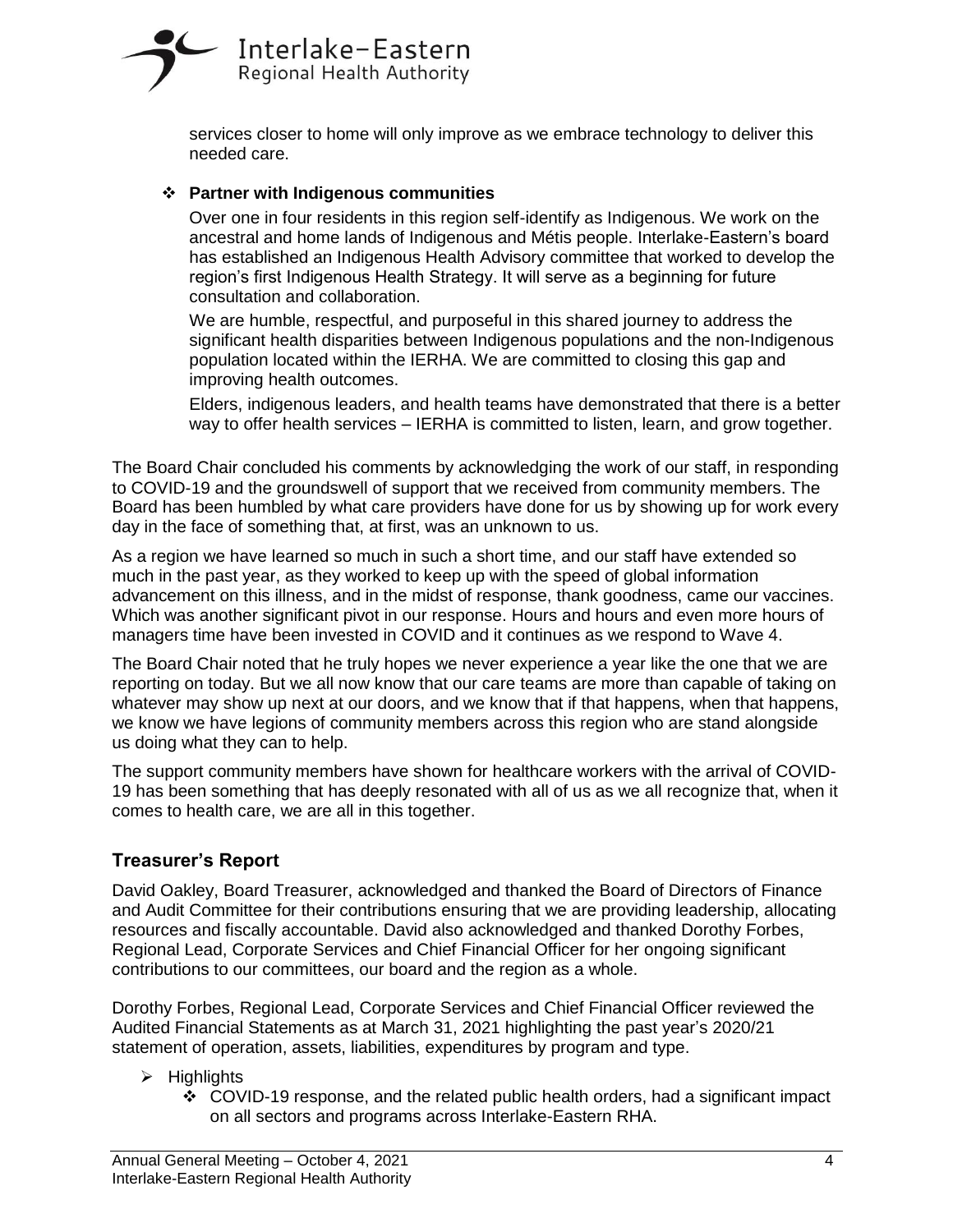# Interlake-Eastern Regional Health Authority

services closer to home will only improve as we embrace technology to deliver this needed care.

## ❖ **Partner with Indigenous communities**

Over one in four residents in this region self-identify as Indigenous. We work on the ancestral and home lands of Indigenous and Métis people. Interlake-Eastern's board has established an Indigenous Health Advisory committee that worked to develop the region's first Indigenous Health Strategy. It will serve as a beginning for future consultation and collaboration.

We are humble, respectful, and purposeful in this shared journey to address the significant health disparities between Indigenous populations and the non-Indigenous population located within the IERHA. We are committed to closing this gap and improving health outcomes.

Elders, indigenous leaders, and health teams have demonstrated that there is a better way to offer health services – IERHA is committed to listen, learn, and grow together.

The Board Chair concluded his comments by acknowledging the work of our staff, in responding to COVID-19 and the groundswell of support that we received from community members. The Board has been humbled by what care providers have done for us by showing up for work every day in the face of something that, at first, was an unknown to us.

As a region we have learned so much in such a short time, and our staff have extended so much in the past year, as they worked to keep up with the speed of global information advancement on this illness, and in the midst of response, thank goodness, came our vaccines. Which was another significant pivot in our response. Hours and hours and even more hours of managers time have been invested in COVID and it continues as we respond to Wave 4.

The Board Chair noted that he truly hopes we never experience a year like the one that we are reporting on today. But we all now know that our care teams are more than capable of taking on whatever may show up next at our doors, and we know that if that happens, when that happens, we know we have legions of community members across this region who are stand alongside us doing what they can to help.

The support community members have shown for healthcare workers with the arrival of COVID-19 has been something that has deeply resonated with all of us as we all recognize that, when it comes to health care, we are all in this together.

# **Treasurer's Report**

David Oakley, Board Treasurer, acknowledged and thanked the Board of Directors of Finance and Audit Committee for their contributions ensuring that we are providing leadership, allocating resources and fiscally accountable. David also acknowledged and thanked Dorothy Forbes, Regional Lead, Corporate Services and Chief Financial Officer for her ongoing significant contributions to our committees, our board and the region as a whole.

Dorothy Forbes, Regional Lead, Corporate Services and Chief Financial Officer reviewed the Audited Financial Statements as at March 31, 2021 highlighting the past year's 2020/21 statement of operation, assets, liabilities, expenditures by program and type.

- ➢ Highlights
	- $\div$  COVID-19 response, and the related public health orders, had a significant impact on all sectors and programs across Interlake-Eastern RHA.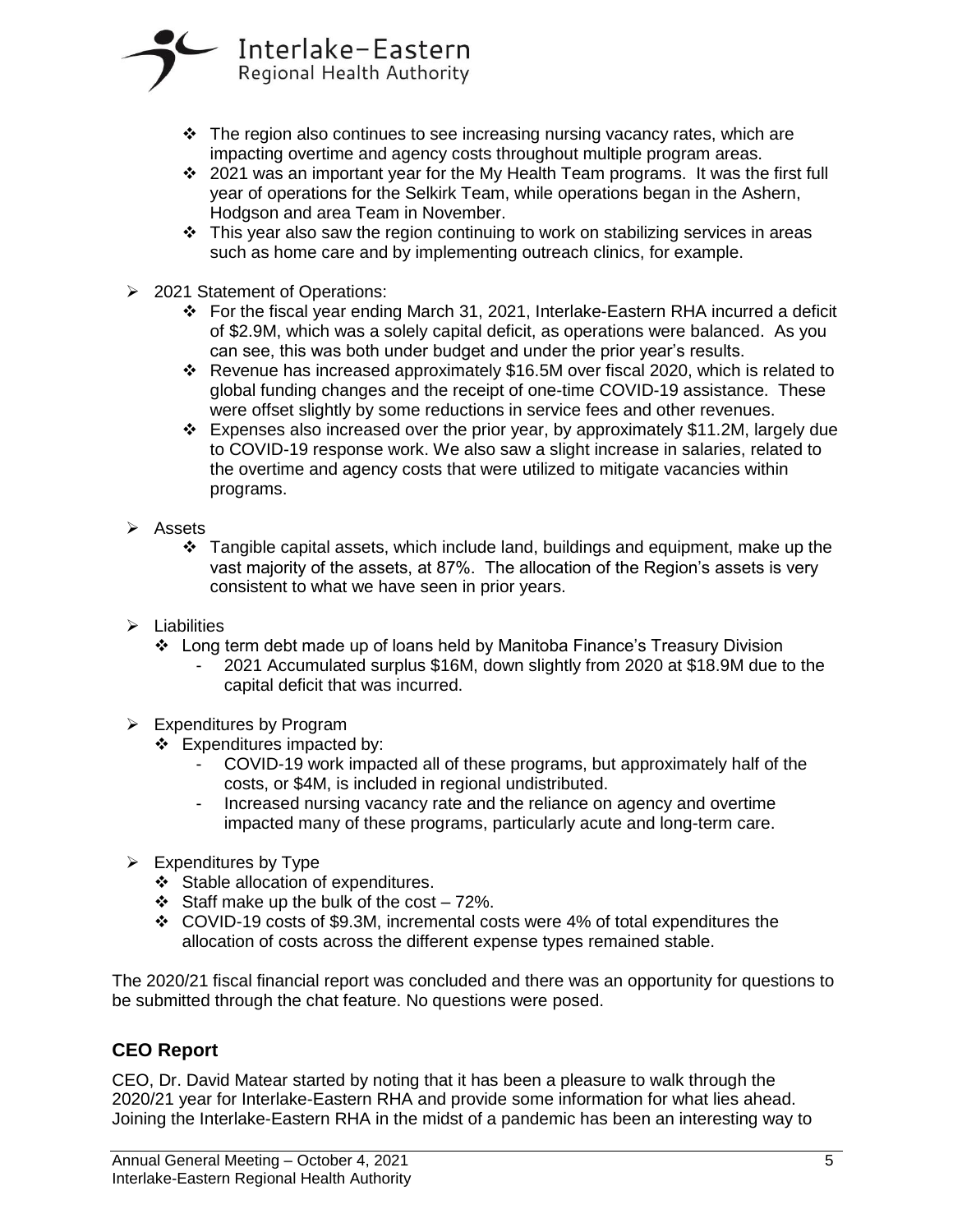

- $\div$  The region also continues to see increasing nursing vacancy rates, which are impacting overtime and agency costs throughout multiple program areas.
- ❖ 2021 was an important year for the My Health Team programs. It was the first full year of operations for the Selkirk Team, while operations began in the Ashern, Hodgson and area Team in November.
- $\div$  This year also saw the region continuing to work on stabilizing services in areas such as home care and by implementing outreach clinics, for example.
- ➢ 2021 Statement of Operations:
	- ❖ For the fiscal year ending March 31, 2021, Interlake-Eastern RHA incurred a deficit of \$2.9M, which was a solely capital deficit, as operations were balanced. As you can see, this was both under budget and under the prior year's results.
	- ❖ Revenue has increased approximately \$16.5M over fiscal 2020, which is related to global funding changes and the receipt of one-time COVID-19 assistance. These were offset slightly by some reductions in service fees and other revenues.
	- ❖ Expenses also increased over the prior year, by approximately \$11.2M, largely due to COVID-19 response work. We also saw a slight increase in salaries, related to the overtime and agency costs that were utilized to mitigate vacancies within programs.
- ➢ Assets
	- ❖ Tangible capital assets, which include land, buildings and equipment, make up the vast majority of the assets, at 87%. The allocation of the Region's assets is very consistent to what we have seen in prior years.
- ➢ Liabilities
	- ❖ Long term debt made up of loans held by Manitoba Finance's Treasury Division
		- 2021 Accumulated surplus \$16M, down slightly from 2020 at \$18.9M due to the capital deficit that was incurred.
- ➢ Expenditures by Program
	- ❖ Expenditures impacted by:
		- COVID-19 work impacted all of these programs, but approximately half of the costs, or \$4M, is included in regional undistributed.
		- Increased nursing vacancy rate and the reliance on agency and overtime impacted many of these programs, particularly acute and long-term care.
- $\triangleright$  Expenditures by Type
	- ❖ Stable allocation of expenditures.
	- ❖ Staff make up the bulk of the cost 72%.
	- ❖ COVID-19 costs of \$9.3M, incremental costs were 4% of total expenditures the allocation of costs across the different expense types remained stable.

The 2020/21 fiscal financial report was concluded and there was an opportunity for questions to be submitted through the chat feature. No questions were posed.

# **CEO Report**

CEO, Dr. David Matear started by noting that it has been a pleasure to walk through the 2020/21 year for Interlake-Eastern RHA and provide some information for what lies ahead. Joining the Interlake-Eastern RHA in the midst of a pandemic has been an interesting way to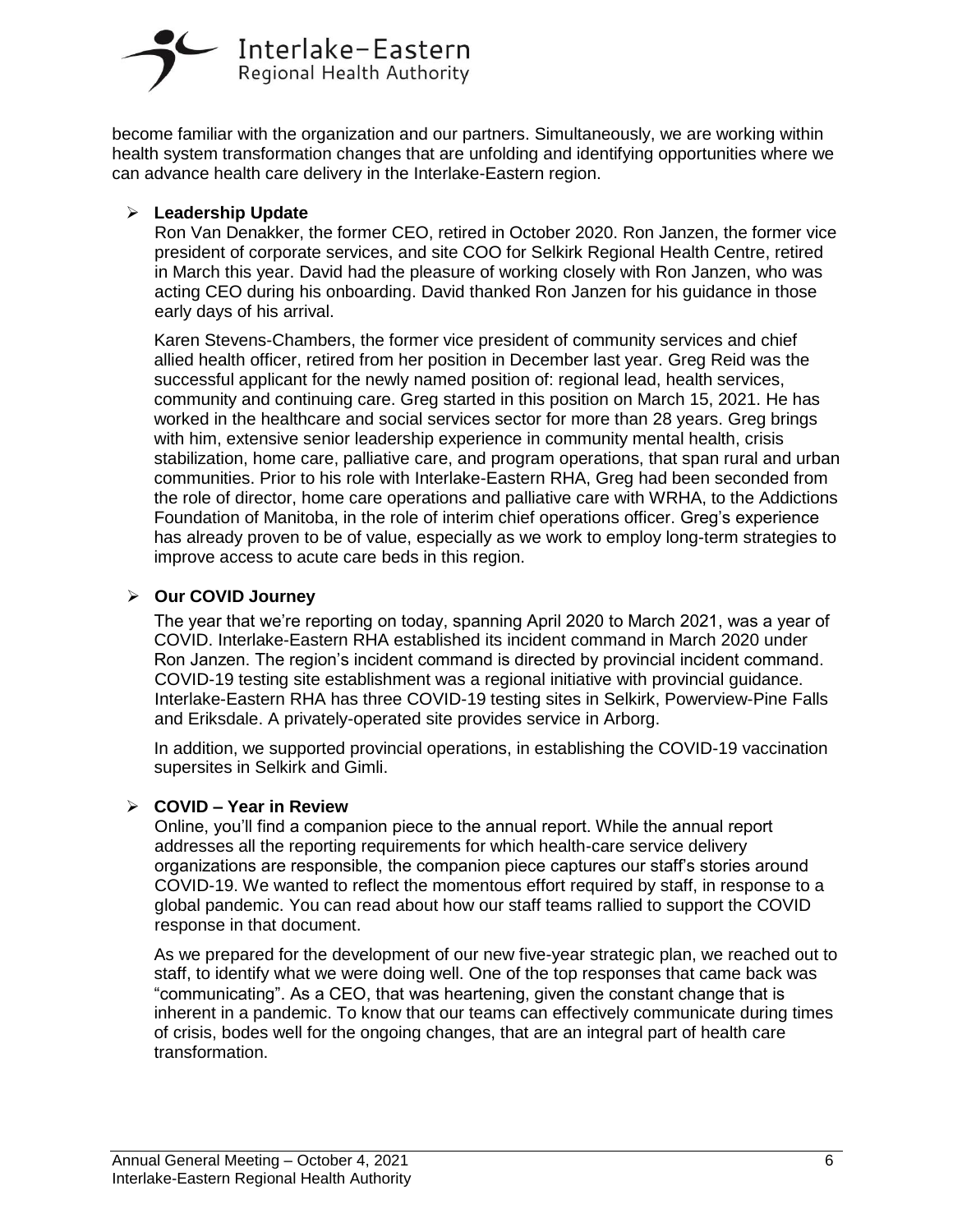

become familiar with the organization and our partners. Simultaneously, we are working within health system transformation changes that are unfolding and identifying opportunities where we can advance health care delivery in the Interlake-Eastern region.

#### ➢ **Leadership Update**

Ron Van Denakker, the former CEO, retired in October 2020. Ron Janzen, the former vice president of corporate services, and site COO for Selkirk Regional Health Centre, retired in March this year. David had the pleasure of working closely with Ron Janzen, who was acting CEO during his onboarding. David thanked Ron Janzen for his guidance in those early days of his arrival.

Karen Stevens-Chambers, the former vice president of community services and chief allied health officer, retired from her position in December last year. Greg Reid was the successful applicant for the newly named position of: regional lead, health services, community and continuing care. Greg started in this position on March 15, 2021. He has worked in the healthcare and social services sector for more than 28 years. Greg brings with him, extensive senior leadership experience in community mental health, crisis stabilization, home care, palliative care, and program operations, that span rural and urban communities. Prior to his role with Interlake-Eastern RHA, Greg had been seconded from the role of director, home care operations and palliative care with WRHA, to the Addictions Foundation of Manitoba, in the role of interim chief operations officer. Greg's experience has already proven to be of value, especially as we work to employ long-term strategies to improve access to acute care beds in this region.

#### ➢ **Our COVID Journey**

The year that we're reporting on today, spanning April 2020 to March 2021, was a year of COVID. Interlake-Eastern RHA established its incident command in March 2020 under Ron Janzen. The region's incident command is directed by provincial incident command. COVID-19 testing site establishment was a regional initiative with provincial guidance. Interlake-Eastern RHA has three COVID-19 testing sites in Selkirk, Powerview-Pine Falls and Eriksdale. A privately-operated site provides service in Arborg.

In addition, we supported provincial operations, in establishing the COVID-19 vaccination supersites in Selkirk and Gimli.

#### ➢ **COVID – Year in Review**

Online, you'll find a companion piece to the annual report. While the annual report addresses all the reporting requirements for which health-care service delivery organizations are responsible, the companion piece captures our staff's stories around COVID-19. We wanted to reflect the momentous effort required by staff, in response to a global pandemic. You can read about how our staff teams rallied to support the COVID response in that document.

As we prepared for the development of our new five-year strategic plan, we reached out to staff, to identify what we were doing well. One of the top responses that came back was "communicating". As a CEO, that was heartening, given the constant change that is inherent in a pandemic. To know that our teams can effectively communicate during times of crisis, bodes well for the ongoing changes, that are an integral part of health care transformation.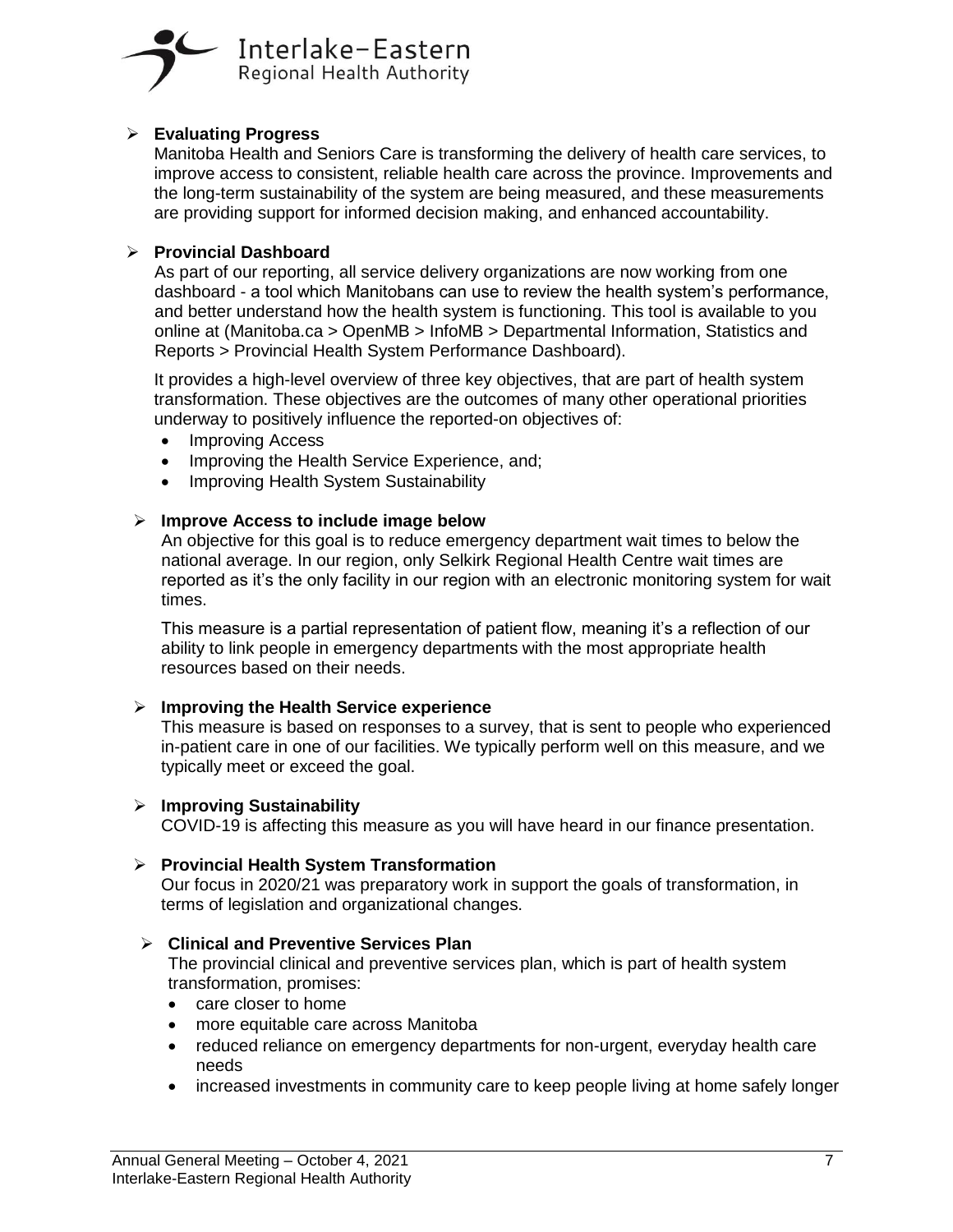

#### ➢ **Evaluating Progress**

Manitoba Health and Seniors Care is transforming the delivery of health care services, to improve access to consistent, reliable health care across the province. Improvements and the long-term sustainability of the system are being measured, and these measurements are providing support for informed decision making, and enhanced accountability.

#### ➢ **Provincial Dashboard**

As part of our reporting, all service delivery organizations are now working from one dashboard - a tool which Manitobans can use to review the health system's performance, and better understand how the health system is functioning. This tool is available to you online at (Manitoba.ca > OpenMB > InfoMB > Departmental Information, Statistics and Reports > Provincial Health System Performance Dashboard).

It provides a high-level overview of three key objectives, that are part of health system transformation. These objectives are the outcomes of many other operational priorities underway to positively influence the reported-on objectives of:

- Improving Access
- Improving the Health Service Experience, and;
- Improving Health System Sustainability

#### ➢ **Improve Access to include image below**

An objective for this goal is to reduce emergency department wait times to below the national average. In our region, only Selkirk Regional Health Centre wait times are reported as it's the only facility in our region with an electronic monitoring system for wait times.

This measure is a partial representation of patient flow, meaning it's a reflection of our ability to link people in emergency departments with the most appropriate health resources based on their needs.

#### ➢ **Improving the Health Service experience**

This measure is based on responses to a survey, that is sent to people who experienced in-patient care in one of our facilities. We typically perform well on this measure, and we typically meet or exceed the goal.

#### ➢ **Improving Sustainability**

COVID-19 is affecting this measure as you will have heard in our finance presentation.

#### ➢ **Provincial Health System Transformation**

Our focus in 2020/21 was preparatory work in support the goals of transformation, in terms of legislation and organizational changes.

#### ➢ **Clinical and Preventive Services Plan**

The provincial clinical and preventive services plan, which is part of health system transformation, promises:

- care closer to home
- more equitable care across Manitoba
- reduced reliance on emergency departments for non-urgent, everyday health care needs
- increased investments in community care to keep people living at home safely longer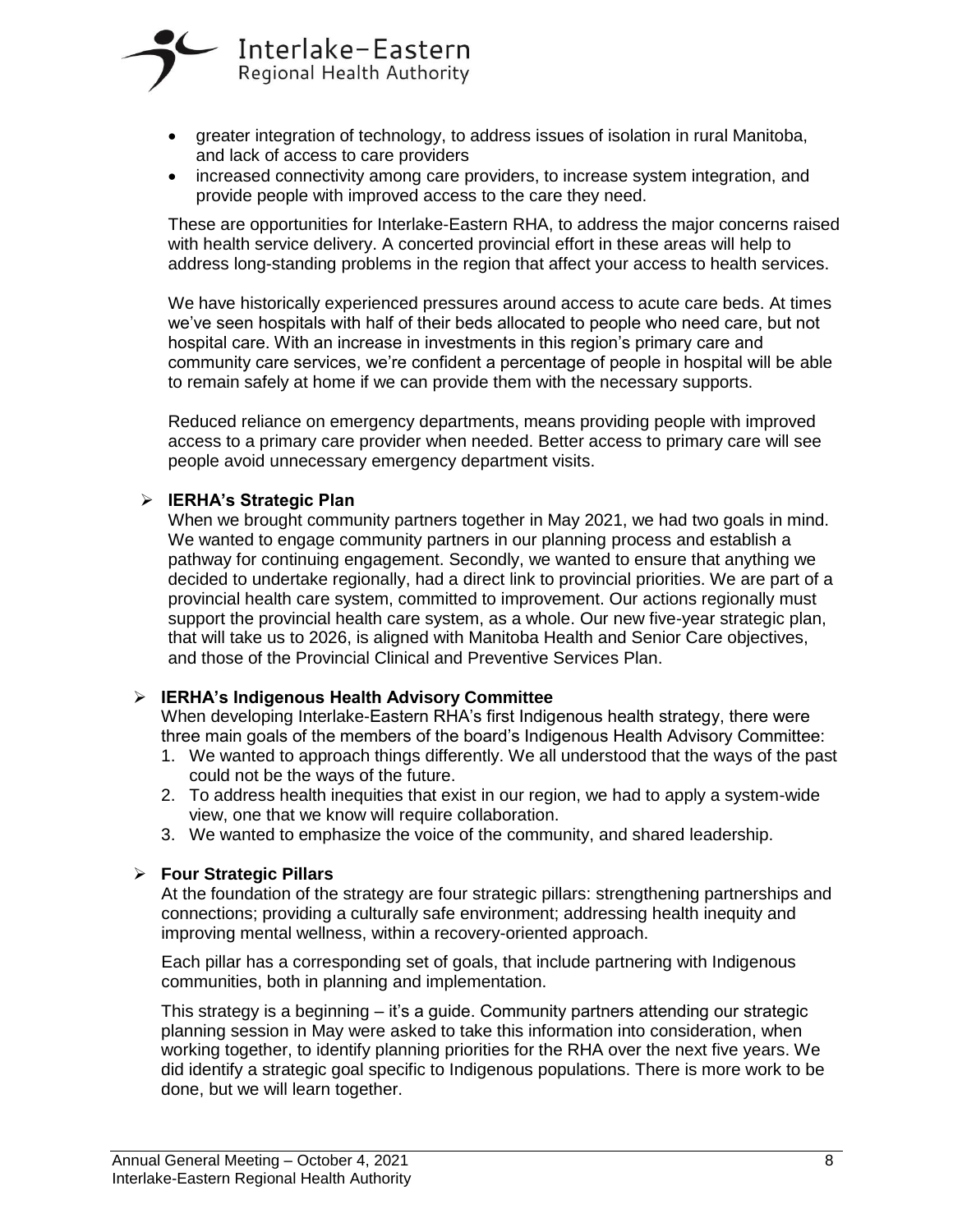

- greater integration of technology, to address issues of isolation in rural Manitoba, and lack of access to care providers
- increased connectivity among care providers, to increase system integration, and provide people with improved access to the care they need.

These are opportunities for Interlake-Eastern RHA, to address the major concerns raised with health service delivery. A concerted provincial effort in these areas will help to address long-standing problems in the region that affect your access to health services.

We have historically experienced pressures around access to acute care beds. At times we've seen hospitals with half of their beds allocated to people who need care, but not hospital care. With an increase in investments in this region's primary care and community care services, we're confident a percentage of people in hospital will be able to remain safely at home if we can provide them with the necessary supports.

Reduced reliance on emergency departments, means providing people with improved access to a primary care provider when needed. Better access to primary care will see people avoid unnecessary emergency department visits.

#### ➢ **IERHA's Strategic Plan**

When we brought community partners together in May 2021, we had two goals in mind. We wanted to engage community partners in our planning process and establish a pathway for continuing engagement. Secondly, we wanted to ensure that anything we decided to undertake regionally, had a direct link to provincial priorities. We are part of a provincial health care system, committed to improvement. Our actions regionally must support the provincial health care system, as a whole. Our new five-year strategic plan, that will take us to 2026, is aligned with Manitoba Health and Senior Care objectives, and those of the Provincial Clinical and Preventive Services Plan.

#### ➢ **IERHA's Indigenous Health Advisory Committee**

When developing Interlake-Eastern RHA's first Indigenous health strategy, there were three main goals of the members of the board's Indigenous Health Advisory Committee:

- 1. We wanted to approach things differently. We all understood that the ways of the past could not be the ways of the future.
- 2. To address health inequities that exist in our region, we had to apply a system-wide view, one that we know will require collaboration.
- 3. We wanted to emphasize the voice of the community, and shared leadership.

#### ➢ **Four Strategic Pillars**

At the foundation of the strategy are four strategic pillars: strengthening partnerships and connections; providing a culturally safe environment; addressing health inequity and improving mental wellness, within a recovery-oriented approach.

Each pillar has a corresponding set of goals, that include partnering with Indigenous communities, both in planning and implementation.

This strategy is a beginning – it's a guide. Community partners attending our strategic planning session in May were asked to take this information into consideration, when working together, to identify planning priorities for the RHA over the next five years. We did identify a strategic goal specific to Indigenous populations. There is more work to be done, but we will learn together.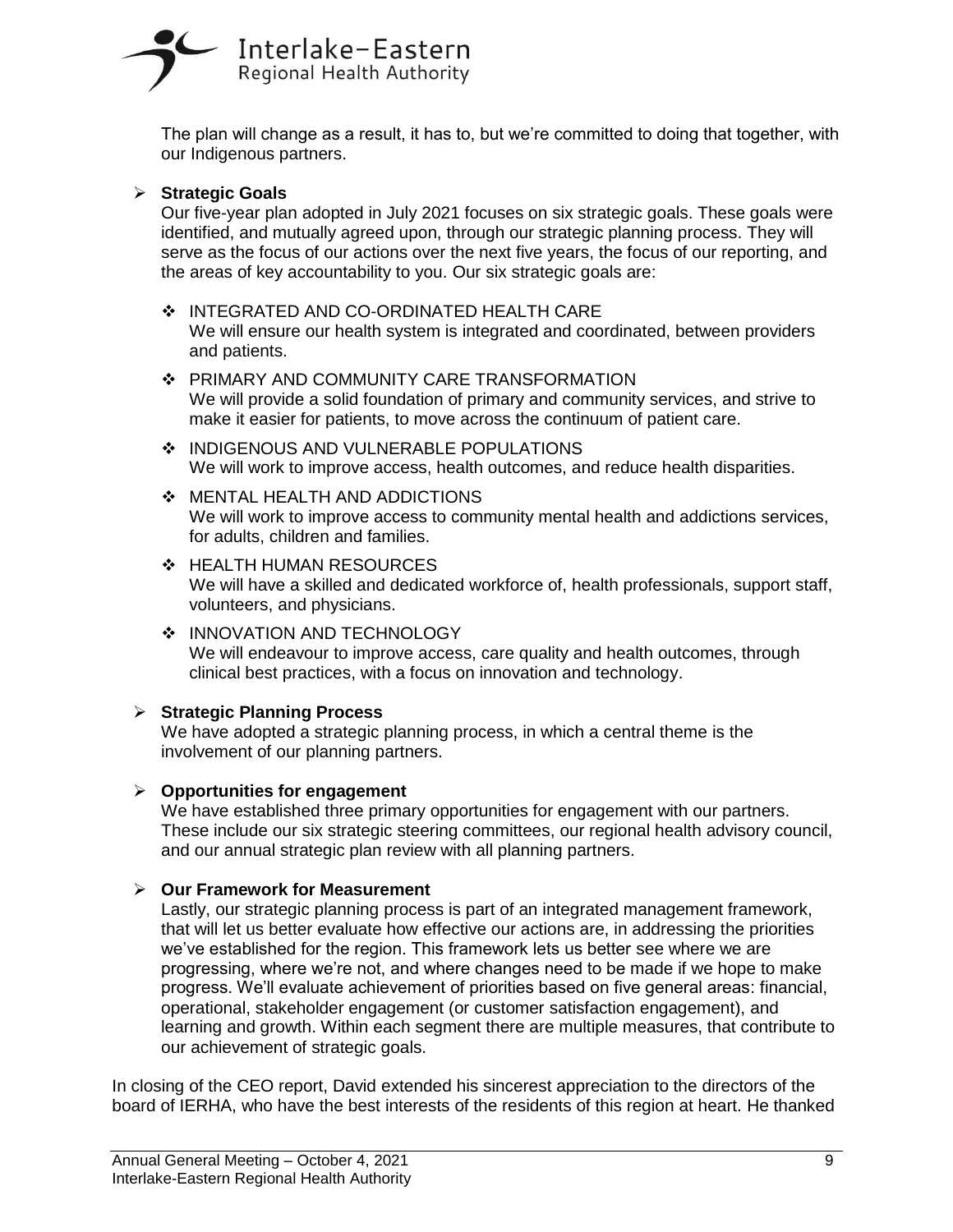# Interlake-Eastern Regional Health Authority

The plan will change as a result, it has to, but we're committed to doing that together, with our Indigenous partners.

#### ➢ **Strategic Goals**

Our five-year plan adopted in July 2021 focuses on six strategic goals. These goals were identified, and mutually agreed upon, through our strategic planning process. They will serve as the focus of our actions over the next five years, the focus of our reporting, and the areas of key accountability to you. Our six strategic goals are:

- ❖ INTEGRATED AND CO-ORDINATED HEALTH CARE We will ensure our health system is integrated and coordinated, between providers and patients.
- ❖ PRIMARY AND COMMUNITY CARE TRANSFORMATION We will provide a solid foundation of primary and community services, and strive to make it easier for patients, to move across the continuum of patient care.
- ❖ INDIGENOUS AND VULNERABLE POPULATIONS We will work to improve access, health outcomes, and reduce health disparities.
- ❖ MENTAL HEALTH AND ADDICTIONS We will work to improve access to community mental health and addictions services, for adults, children and families.
- ❖ HEALTH HUMAN RESOURCES We will have a skilled and dedicated workforce of, health professionals, support staff, volunteers, and physicians.
- ❖ INNOVATION AND TECHNOLOGY We will endeavour to improve access, care quality and health outcomes, through clinical best practices, with a focus on innovation and technology.

#### ➢ **Strategic Planning Process**

We have adopted a strategic planning process, in which a central theme is the involvement of our planning partners.

#### ➢ **Opportunities for engagement**

We have established three primary opportunities for engagement with our partners. These include our six strategic steering committees, our regional health advisory council, and our annual strategic plan review with all planning partners.

## ➢ **Our Framework for Measurement**

Lastly, our strategic planning process is part of an integrated management framework, that will let us better evaluate how effective our actions are, in addressing the priorities we've established for the region. This framework lets us better see where we are progressing, where we're not, and where changes need to be made if we hope to make progress. We'll evaluate achievement of priorities based on five general areas: financial, operational, stakeholder engagement (or customer satisfaction engagement), and learning and growth. Within each segment there are multiple measures, that contribute to our achievement of strategic goals.

In closing of the CEO report, David extended his sincerest appreciation to the directors of the board of IERHA, who have the best interests of the residents of this region at heart. He thanked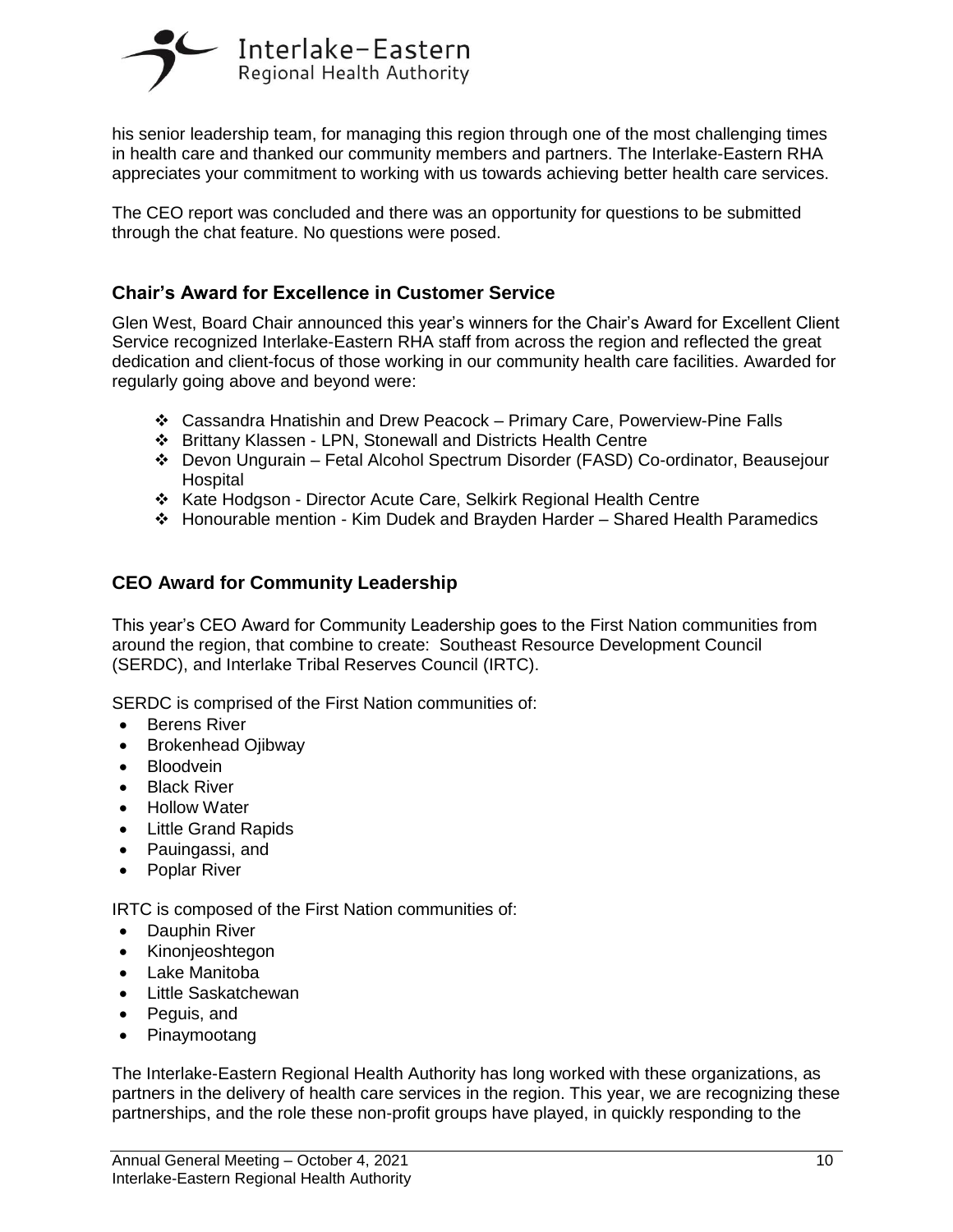

his senior leadership team, for managing this region through one of the most challenging times in health care and thanked our community members and partners. The Interlake-Eastern RHA appreciates your commitment to working with us towards achieving better health care services.

The CEO report was concluded and there was an opportunity for questions to be submitted through the chat feature. No questions were posed.

# **Chair's Award for Excellence in Customer Service**

Glen West, Board Chair announced this year's winners for the Chair's Award for Excellent Client Service recognized Interlake-Eastern RHA staff from across the region and reflected the great dedication and client-focus of those working in our community health care facilities. Awarded for regularly going above and beyond were:

- ❖ Cassandra Hnatishin and Drew Peacock Primary Care, Powerview-Pine Falls
- ❖ Brittany Klassen LPN, Stonewall and Districts Health Centre
- ❖ Devon Ungurain Fetal Alcohol Spectrum Disorder (FASD) Co-ordinator, Beausejour **Hospital**
- ❖ Kate Hodgson Director Acute Care, Selkirk Regional Health Centre
- ❖ Honourable mention Kim Dudek and Brayden Harder Shared Health Paramedics

## **CEO Award for Community Leadership**

This year's CEO Award for Community Leadership goes to the First Nation communities from around the region, that combine to create: Southeast Resource Development Council (SERDC), and Interlake Tribal Reserves Council (IRTC).

SERDC is comprised of the First Nation communities of:

- Berens River
- Brokenhead Ojibway
- Bloodvein
- **Black River**
- Hollow Water
- Little Grand Rapids
- Pauingassi, and
- Poplar River

IRTC is composed of the First Nation communities of:

- Dauphin River
- Kinonjeoshtegon
- Lake Manitoba
- Little Saskatchewan
- Peguis, and
- Pinaymootang

The Interlake-Eastern Regional Health Authority has long worked with these organizations, as partners in the delivery of health care services in the region. This year, we are recognizing these partnerships, and the role these non-profit groups have played, in quickly responding to the